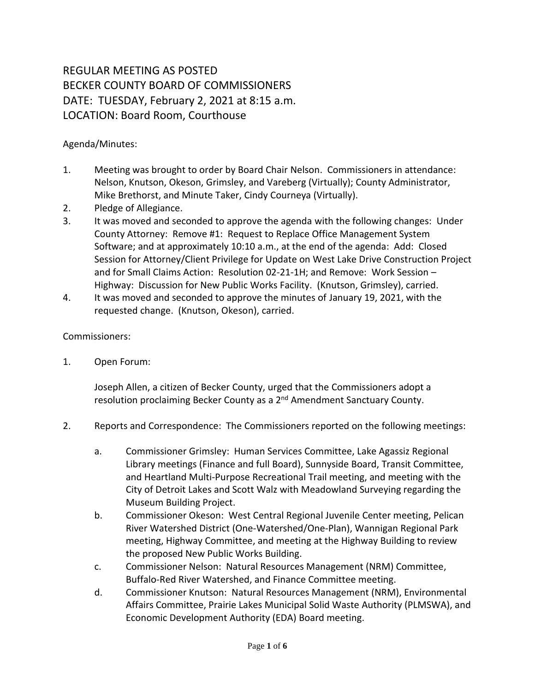## REGULAR MEETING AS POSTED BECKER COUNTY BOARD OF COMMISSIONERS DATE: TUESDAY, February 2, 2021 at 8:15 a.m. LOCATION: Board Room, Courthouse

## Agenda/Minutes:

- 1. Meeting was brought to order by Board Chair Nelson. Commissioners in attendance: Nelson, Knutson, Okeson, Grimsley, and Vareberg (Virtually); County Administrator, Mike Brethorst, and Minute Taker, Cindy Courneya (Virtually).
- 2. Pledge of Allegiance.
- 3. It was moved and seconded to approve the agenda with the following changes: Under County Attorney: Remove #1: Request to Replace Office Management System Software; and at approximately 10:10 a.m., at the end of the agenda: Add: Closed Session for Attorney/Client Privilege for Update on West Lake Drive Construction Project and for Small Claims Action: Resolution 02-21-1H; and Remove: Work Session – Highway: Discussion for New Public Works Facility. (Knutson, Grimsley), carried.
- 4. It was moved and seconded to approve the minutes of January 19, 2021, with the requested change. (Knutson, Okeson), carried.

## Commissioners:

1. Open Forum:

Joseph Allen, a citizen of Becker County, urged that the Commissioners adopt a resolution proclaiming Becker County as a 2<sup>nd</sup> Amendment Sanctuary County.

- 2. Reports and Correspondence: The Commissioners reported on the following meetings:
	- a. Commissioner Grimsley: Human Services Committee, Lake Agassiz Regional Library meetings (Finance and full Board), Sunnyside Board, Transit Committee, and Heartland Multi-Purpose Recreational Trail meeting, and meeting with the City of Detroit Lakes and Scott Walz with Meadowland Surveying regarding the Museum Building Project.
	- b. Commissioner Okeson: West Central Regional Juvenile Center meeting, Pelican River Watershed District (One-Watershed/One-Plan), Wannigan Regional Park meeting, Highway Committee, and meeting at the Highway Building to review the proposed New Public Works Building.
	- c. Commissioner Nelson: Natural Resources Management (NRM) Committee, Buffalo-Red River Watershed, and Finance Committee meeting.
	- d. Commissioner Knutson: Natural Resources Management (NRM), Environmental Affairs Committee, Prairie Lakes Municipal Solid Waste Authority (PLMSWA), and Economic Development Authority (EDA) Board meeting.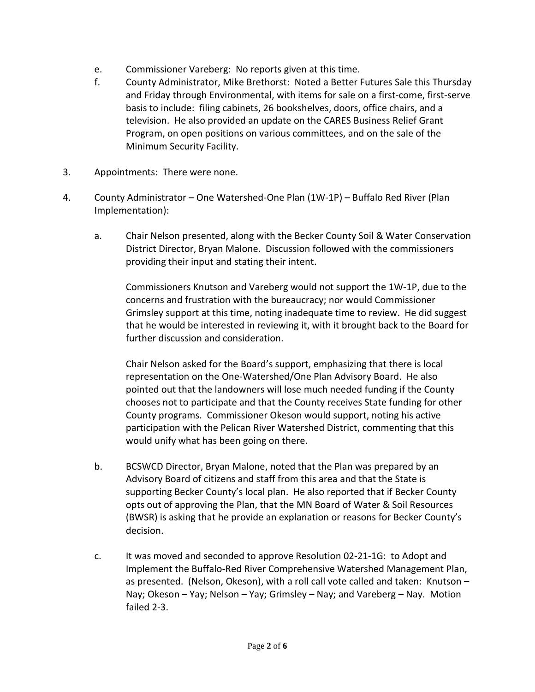- e. Commissioner Vareberg: No reports given at this time.
- f. County Administrator, Mike Brethorst: Noted a Better Futures Sale this Thursday and Friday through Environmental, with items for sale on a first-come, first-serve basis to include: filing cabinets, 26 bookshelves, doors, office chairs, and a television. He also provided an update on the CARES Business Relief Grant Program, on open positions on various committees, and on the sale of the Minimum Security Facility.
- 3. Appointments: There were none.
- 4. County Administrator One Watershed-One Plan (1W-1P) Buffalo Red River (Plan Implementation):
	- a. Chair Nelson presented, along with the Becker County Soil & Water Conservation District Director, Bryan Malone. Discussion followed with the commissioners providing their input and stating their intent.

Commissioners Knutson and Vareberg would not support the 1W-1P, due to the concerns and frustration with the bureaucracy; nor would Commissioner Grimsley support at this time, noting inadequate time to review. He did suggest that he would be interested in reviewing it, with it brought back to the Board for further discussion and consideration.

Chair Nelson asked for the Board's support, emphasizing that there is local representation on the One-Watershed/One Plan Advisory Board. He also pointed out that the landowners will lose much needed funding if the County chooses not to participate and that the County receives State funding for other County programs. Commissioner Okeson would support, noting his active participation with the Pelican River Watershed District, commenting that this would unify what has been going on there.

- b. BCSWCD Director, Bryan Malone, noted that the Plan was prepared by an Advisory Board of citizens and staff from this area and that the State is supporting Becker County's local plan. He also reported that if Becker County opts out of approving the Plan, that the MN Board of Water & Soil Resources (BWSR) is asking that he provide an explanation or reasons for Becker County's decision.
- c. It was moved and seconded to approve Resolution 02-21-1G: to Adopt and Implement the Buffalo-Red River Comprehensive Watershed Management Plan, as presented. (Nelson, Okeson), with a roll call vote called and taken: Knutson – Nay; Okeson – Yay; Nelson – Yay; Grimsley – Nay; and Vareberg – Nay. Motion failed 2-3.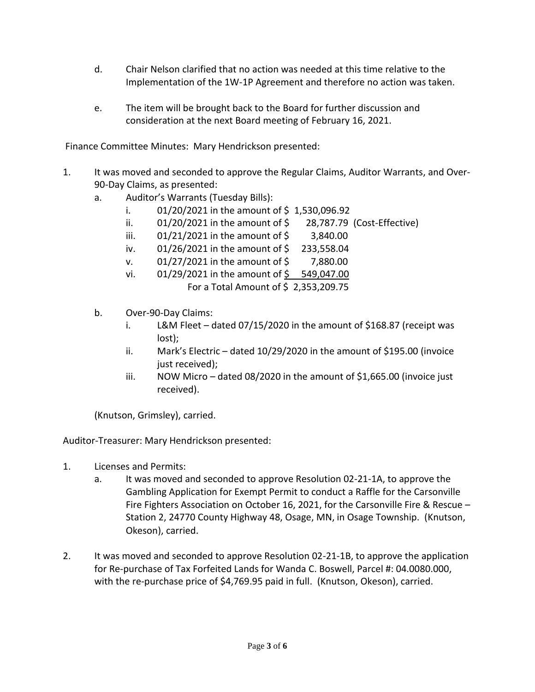- d. Chair Nelson clarified that no action was needed at this time relative to the Implementation of the 1W-1P Agreement and therefore no action was taken.
- e. The item will be brought back to the Board for further discussion and consideration at the next Board meeting of February 16, 2021.

Finance Committee Minutes: Mary Hendrickson presented:

- 1. It was moved and seconded to approve the Regular Claims, Auditor Warrants, and Over-90-Day Claims, as presented:
	- a. Auditor's Warrants (Tuesday Bills):
		- i.  $01/20/2021$  in the amount of \$1,530,096.92
		- ii.  $01/20/2021$  in the amount of  $\zeta$  28,787.79 (Cost-Effective)
		- iii. 01/21/2021 in the amount of \$ 3,840.00
		- iv.  $01/26/2021$  in the amount of \$ 233,558.04
		- v. 01/27/2021 in the amount of \$ 7,880.00
		- vi. 01/29/2021 in the amount of \$ 549,047.00 For a Total Amount of \$ 2,353,209.75
	- b. Over-90-Day Claims:
		- i. L&M Fleet dated 07/15/2020 in the amount of \$168.87 (receipt was lost);
		- ii. Mark's Electric dated 10/29/2020 in the amount of \$195.00 (invoice just received);
		- iii. NOW Micro dated 08/2020 in the amount of \$1,665.00 (invoice just received).

(Knutson, Grimsley), carried.

Auditor-Treasurer: Mary Hendrickson presented:

- 1. Licenses and Permits:
	- a. It was moved and seconded to approve Resolution 02-21-1A, to approve the Gambling Application for Exempt Permit to conduct a Raffle for the Carsonville Fire Fighters Association on October 16, 2021, for the Carsonville Fire & Rescue – Station 2, 24770 County Highway 48, Osage, MN, in Osage Township. (Knutson, Okeson), carried.
- 2. It was moved and seconded to approve Resolution 02-21-1B, to approve the application for Re-purchase of Tax Forfeited Lands for Wanda C. Boswell, Parcel #: 04.0080.000, with the re-purchase price of \$4,769.95 paid in full. (Knutson, Okeson), carried.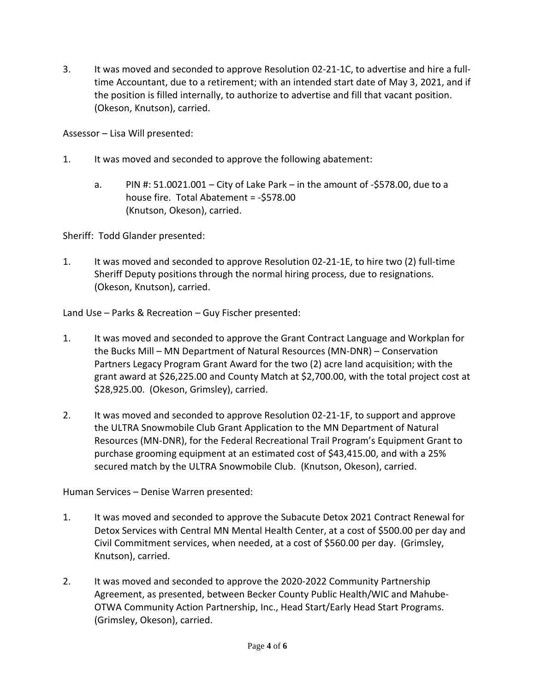3. It was moved and seconded to approve Resolution 02-21-1C, to advertise and hire a fulltime Accountant, due to a retirement; with an intended start date of May 3, 2021, and if the position is filled internally, to authorize to advertise and fill that vacant position. (Okeson, Knutson), carried.

Assessor – Lisa Will presented:

- 1. It was moved and seconded to approve the following abatement:
	- a. PIN #:  $51.0021.001 City$  of Lake Park in the amount of -\$578.00, due to a house fire. Total Abatement = -\$578.00 (Knutson, Okeson), carried.

Sheriff: Todd Glander presented:

1. It was moved and seconded to approve Resolution 02-21-1E, to hire two (2) full-time Sheriff Deputy positions through the normal hiring process, due to resignations. (Okeson, Knutson), carried.

Land Use – Parks & Recreation – Guy Fischer presented:

- 1. It was moved and seconded to approve the Grant Contract Language and Workplan for the Bucks Mill – MN Department of Natural Resources (MN-DNR) – Conservation Partners Legacy Program Grant Award for the two (2) acre land acquisition; with the grant award at \$26,225.00 and County Match at \$2,700.00, with the total project cost at \$28,925.00. (Okeson, Grimsley), carried.
- 2. It was moved and seconded to approve Resolution 02-21-1F, to support and approve the ULTRA Snowmobile Club Grant Application to the MN Department of Natural Resources (MN-DNR), for the Federal Recreational Trail Program's Equipment Grant to purchase grooming equipment at an estimated cost of \$43,415.00, and with a 25% secured match by the ULTRA Snowmobile Club. (Knutson, Okeson), carried.

Human Services – Denise Warren presented:

- 1. It was moved and seconded to approve the Subacute Detox 2021 Contract Renewal for Detox Services with Central MN Mental Health Center, at a cost of \$500.00 per day and Civil Commitment services, when needed, at a cost of \$560.00 per day. (Grimsley, Knutson), carried.
- 2. It was moved and seconded to approve the 2020-2022 Community Partnership Agreement, as presented, between Becker County Public Health/WIC and Mahube-OTWA Community Action Partnership, Inc., Head Start/Early Head Start Programs. (Grimsley, Okeson), carried.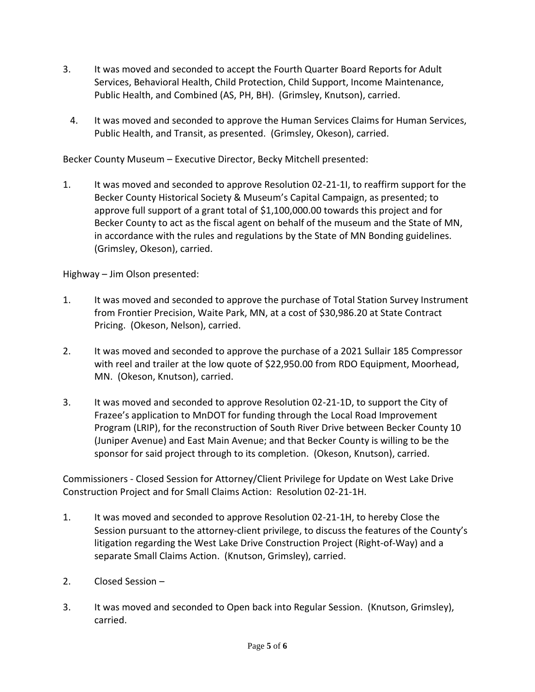- 3. It was moved and seconded to accept the Fourth Quarter Board Reports for Adult Services, Behavioral Health, Child Protection, Child Support, Income Maintenance, Public Health, and Combined (AS, PH, BH). (Grimsley, Knutson), carried.
	- 4. It was moved and seconded to approve the Human Services Claims for Human Services, Public Health, and Transit, as presented. (Grimsley, Okeson), carried.

Becker County Museum – Executive Director, Becky Mitchell presented:

1. It was moved and seconded to approve Resolution 02-21-1I, to reaffirm support for the Becker County Historical Society & Museum's Capital Campaign, as presented; to approve full support of a grant total of \$1,100,000.00 towards this project and for Becker County to act as the fiscal agent on behalf of the museum and the State of MN, in accordance with the rules and regulations by the State of MN Bonding guidelines. (Grimsley, Okeson), carried.

Highway – Jim Olson presented:

- 1. It was moved and seconded to approve the purchase of Total Station Survey Instrument from Frontier Precision, Waite Park, MN, at a cost of \$30,986.20 at State Contract Pricing. (Okeson, Nelson), carried.
- 2. It was moved and seconded to approve the purchase of a 2021 Sullair 185 Compressor with reel and trailer at the low quote of \$22,950.00 from RDO Equipment, Moorhead, MN. (Okeson, Knutson), carried.
- 3. It was moved and seconded to approve Resolution 02-21-1D, to support the City of Frazee's application to MnDOT for funding through the Local Road Improvement Program (LRIP), for the reconstruction of South River Drive between Becker County 10 (Juniper Avenue) and East Main Avenue; and that Becker County is willing to be the sponsor for said project through to its completion. (Okeson, Knutson), carried.

Commissioners - Closed Session for Attorney/Client Privilege for Update on West Lake Drive Construction Project and for Small Claims Action: Resolution 02-21-1H.

- 1. It was moved and seconded to approve Resolution 02-21-1H, to hereby Close the Session pursuant to the attorney-client privilege, to discuss the features of the County's litigation regarding the West Lake Drive Construction Project (Right-of-Way) and a separate Small Claims Action. (Knutson, Grimsley), carried.
- 2. Closed Session –
- 3. It was moved and seconded to Open back into Regular Session. (Knutson, Grimsley), carried.